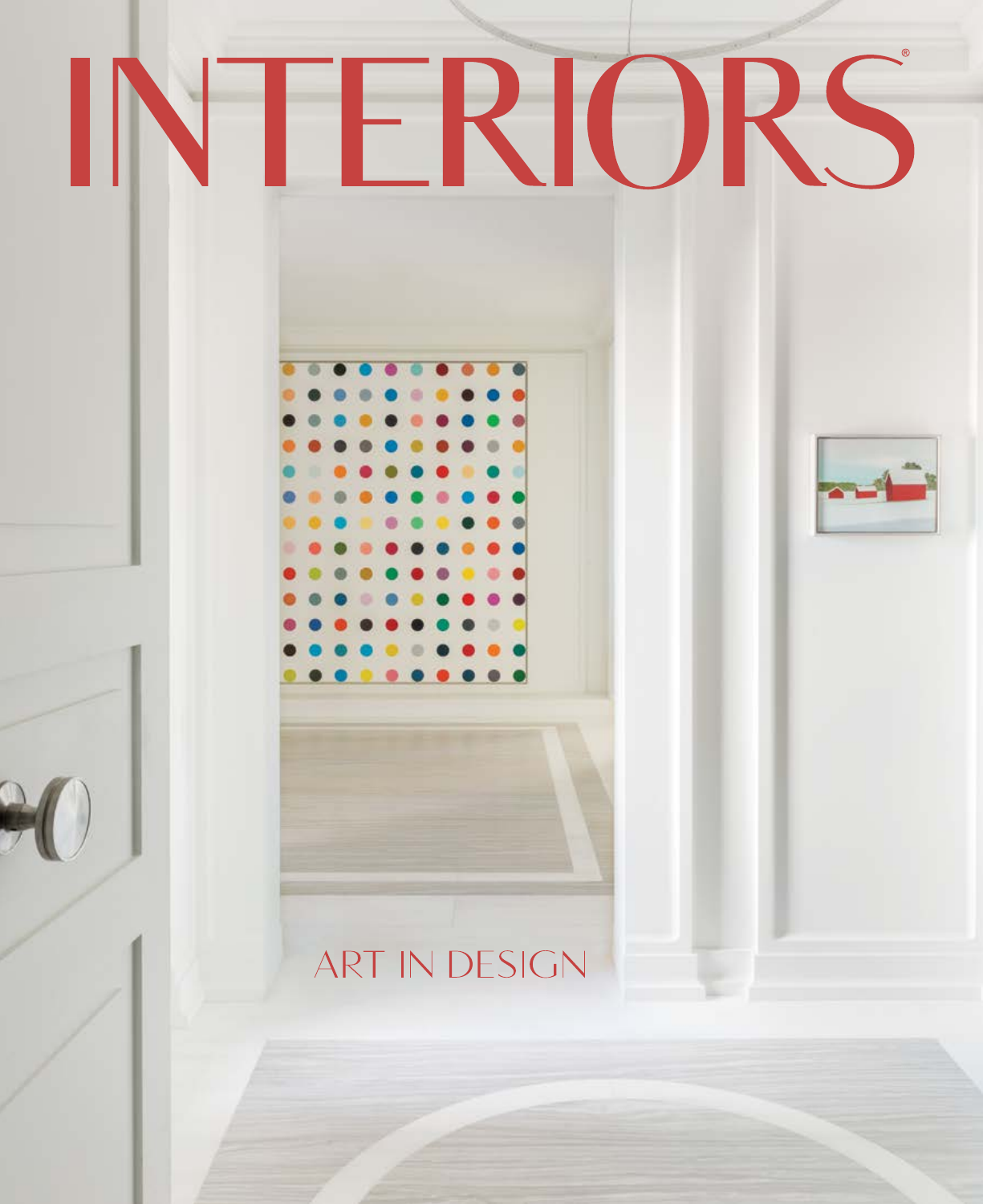



## ART IN DESIGN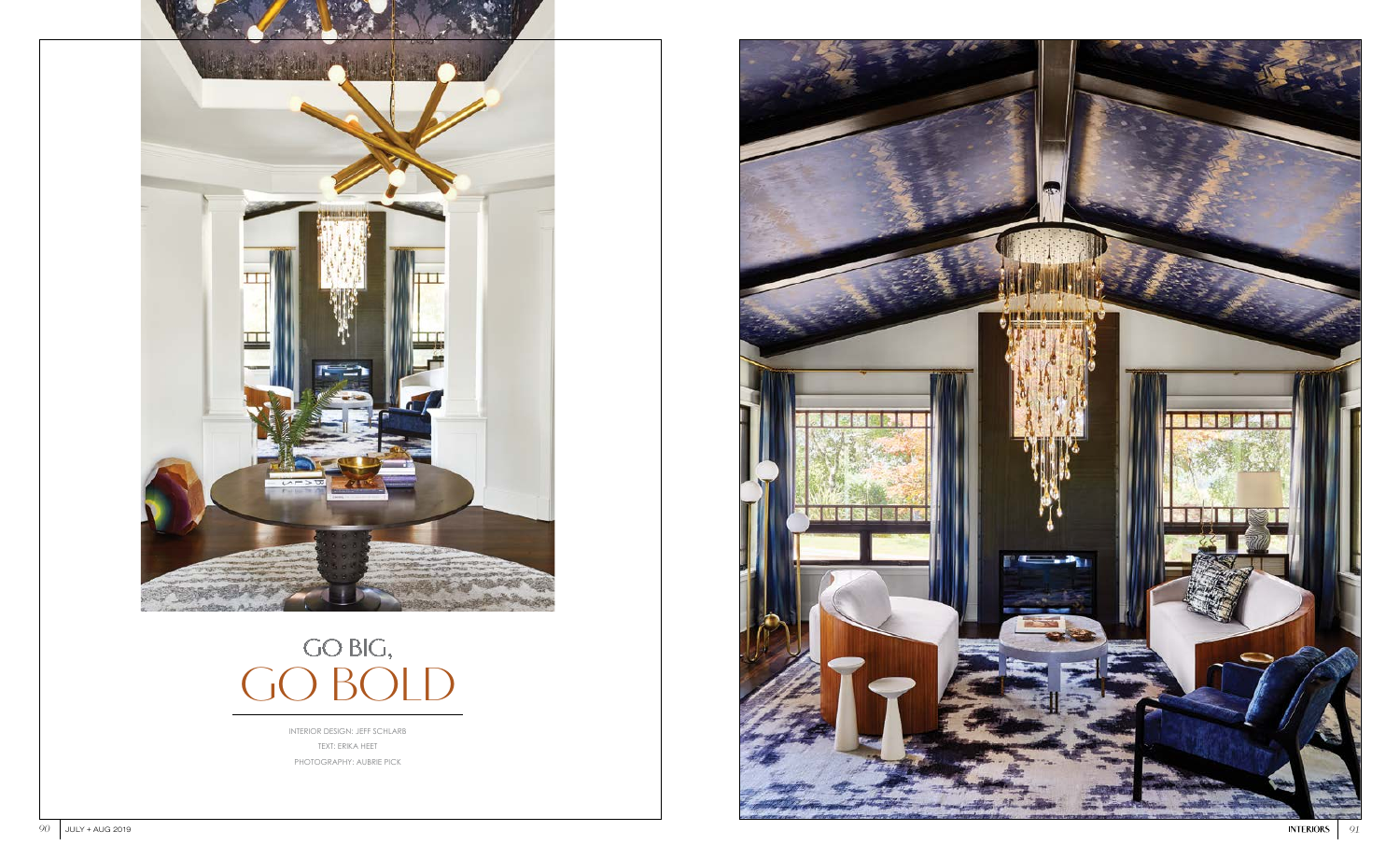INTERIOR DESIGN: JEFF SCHLARB TEXT: ERIKA HEET PHOTOGRAPHY: AUBRIE PICK





## GO BIG, GO BOLD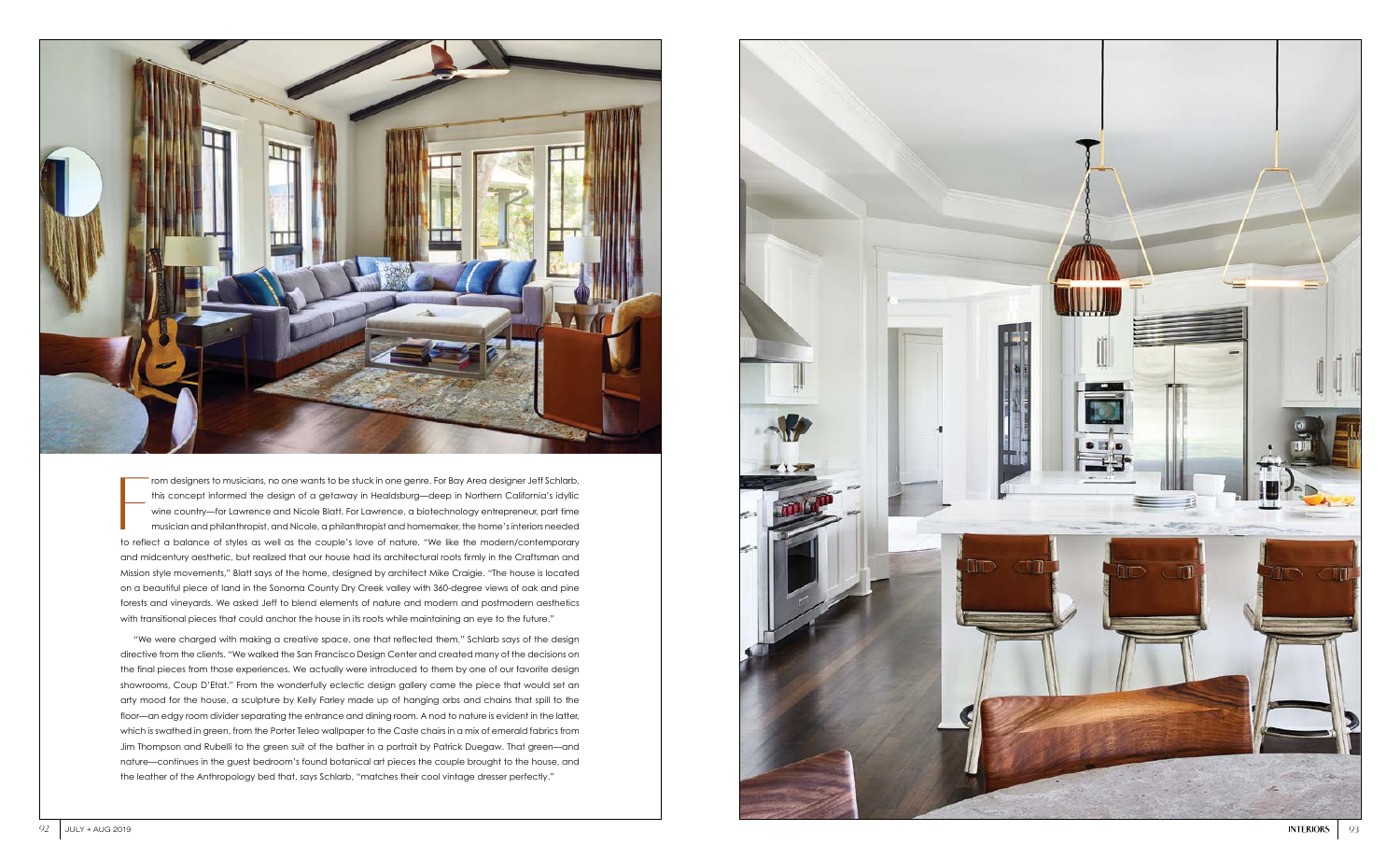

 $\begin{array}{|c|c|}\n\hline\n\hline\n\end{array}$ rom designers to musicians, no one wants to be stuck in one genre. For Bay Area designer Jeff Schlarb, this concept informed the design of a getaway in Healdsburg—deep in Northern California's idyllic wine country—for Lawrence and Nicole Blatt. For Lawrence, a biotechnology entrepreneur, part time musician and philanthropist, and Nicole, a philanthropist and homemaker, the home's interiors needed to reflect a balance of styles as well as the couple's love of nature. "We like the modern/contemporary and midcentury aesthetic, but realized that our house had its architectural roots firmly in the Craftsman and Mission style movements," Blatt says of the home, designed by architect Mike Craigie. "The house is located on a beautiful piece of land in the Sonoma County Dry Creek valley with 360-degree views of oak and pine forests and vineyards. We asked Jeff to blend elements of nature and modern and postmodern aesthetics with transitional pieces that could anchor the house in its roots while maintaining an eye to the future."

 "We were charged with making a creative space, one that reflected them," Schlarb says of the design directive from the clients. "We walked the San Francisco Design Center and created many of the decisions on the final pieces from those experiences. We actually were introduced to them by one of our favorite design showrooms, Coup D'Etat." From the wonderfully eclectic design gallery came the piece that would set an arty mood for the house, a sculpture by Kelly Farley made up of hanging orbs and chains that spill to the floor—an edgy room divider separating the entrance and dining room. A nod to nature is evident in the latter, which is swathed in green, from the Porter Teleo wallpaper to the Caste chairs in a mix of emerald fabrics from Jim Thompson and Rubelli to the green suit of the bather in a portrait by Patrick Duegaw. That green—and nature—continues in the guest bedroom's found botanical art pieces the couple brought to the house, and the leather of the Anthropology bed that, says Schlarb, "matches their cool vintage dresser perfectly."

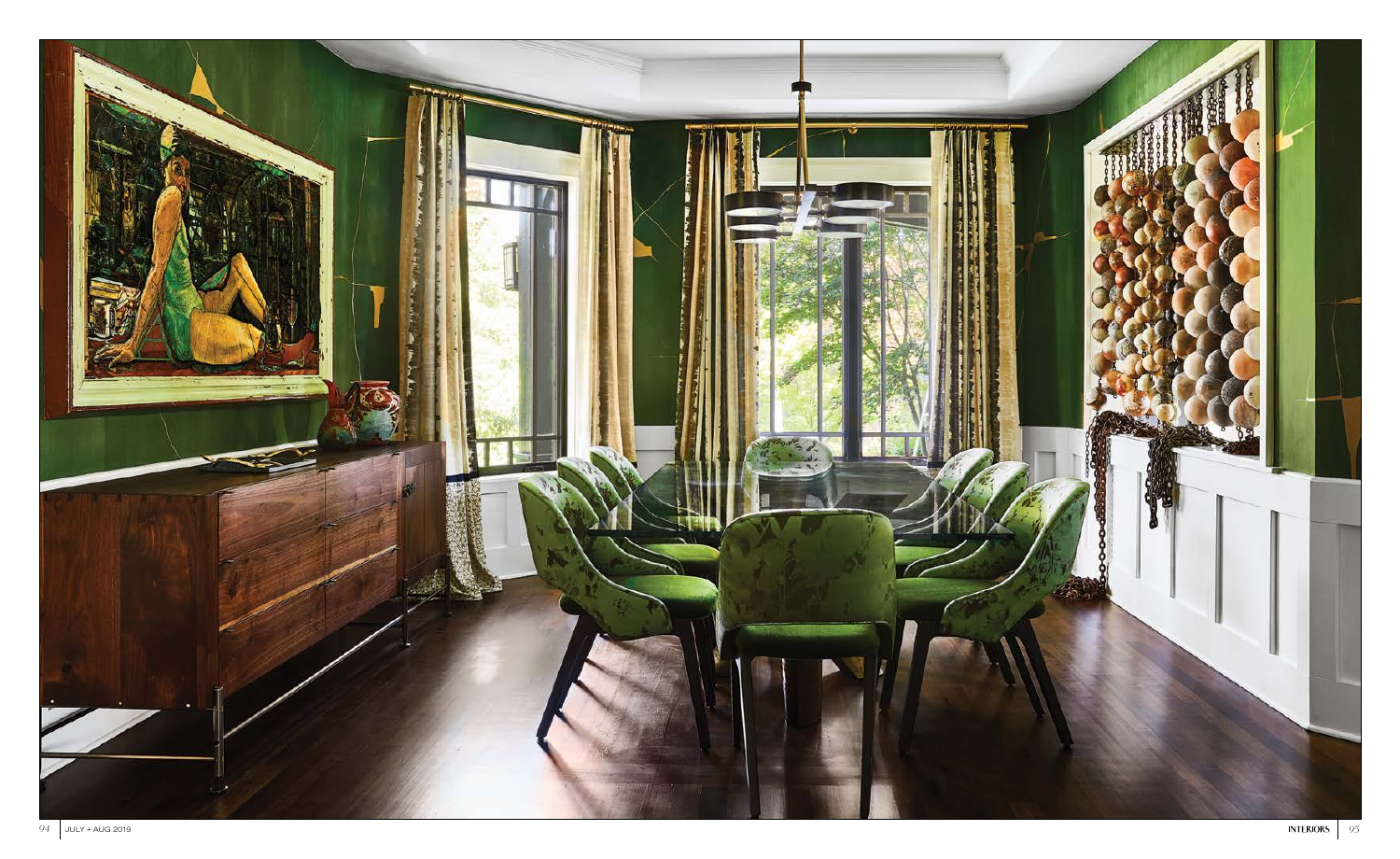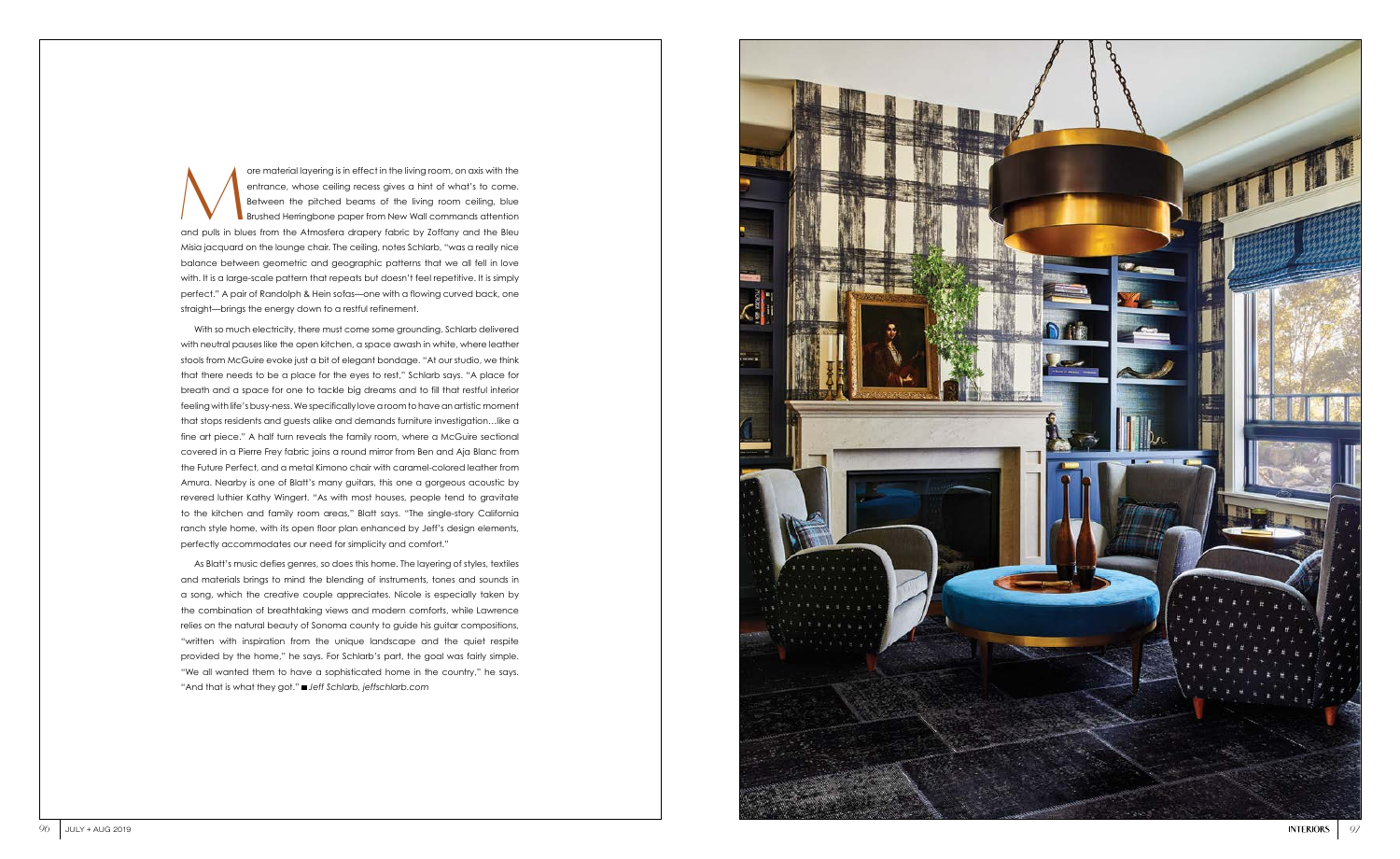M ore material layering is in effect in the living room, on axis with the entrance, whose ceiling recess gives a hint of what's to come. Between the pitched beams of the living room ceiling, blue Brushed Herringbone paper from New Wall commands attention and pulls in blues from the Atmosfera drapery fabric by Zoffany and the Bleu Misia jacquard on the lounge chair. The ceiling, notes Schlarb, "was a really nice balance between geometric and geographic patterns that we all fell in love with. It is a large-scale pattern that repeats but doesn't feel repetitive. It is simply perfect." A pair of Randolph & Hein sofas—one with a flowing curved back, one straight—brings the energy down to a restful refinement.

 With so much electricity, there must come some grounding. Schlarb delivered with neutral pauses like the open kitchen, a space awash in white, where leather stools from McGuire evoke just a bit of elegant bondage. "At our studio, we think that there needs to be a place for the eyes to rest," Schlarb says. "A place for breath and a space for one to tackle big dreams and to fill that restful interior feeling with life's busy-ness. We specifically love a room to have an artistic moment that stops residents and guests alike and demands furniture investigation…like a fine art piece." A half turn reveals the family room, where a McGuire sectional covered in a Pierre Frey fabric joins a round mirror from Ben and Aja Blanc from the Future Perfect, and a metal Kimono chair with caramel-colored leather from Amura. Nearby is one of Blatt's many guitars, this one a gorgeous acoustic by revered luthier Kathy Wingert. "As with most houses, people tend to gravitate to the kitchen and family room areas," Blatt says. "The single-story California ranch style home, with its open floor plan enhanced by Jeff's design elements, perfectly accommodates our need for simplicity and comfort."

 As Blatt's music defies genres, so does this home. The layering of styles, textiles and materials brings to mind the blending of instruments, tones and sounds in a song, which the creative couple appreciates. Nicole is especially taken by the combination of breathtaking views and modern comforts, while Lawrence relies on the natural beauty of Sonoma county to guide his guitar compositions, "written with inspiration from the unique landscape and the quiet respite provided by the home," he says. For Schlarb's part, the goal was fairly simple. "We all wanted them to have a sophisticated home in the country," he says. "And that is what they got." *Jeff Schlarb, jeffschlarb.com*